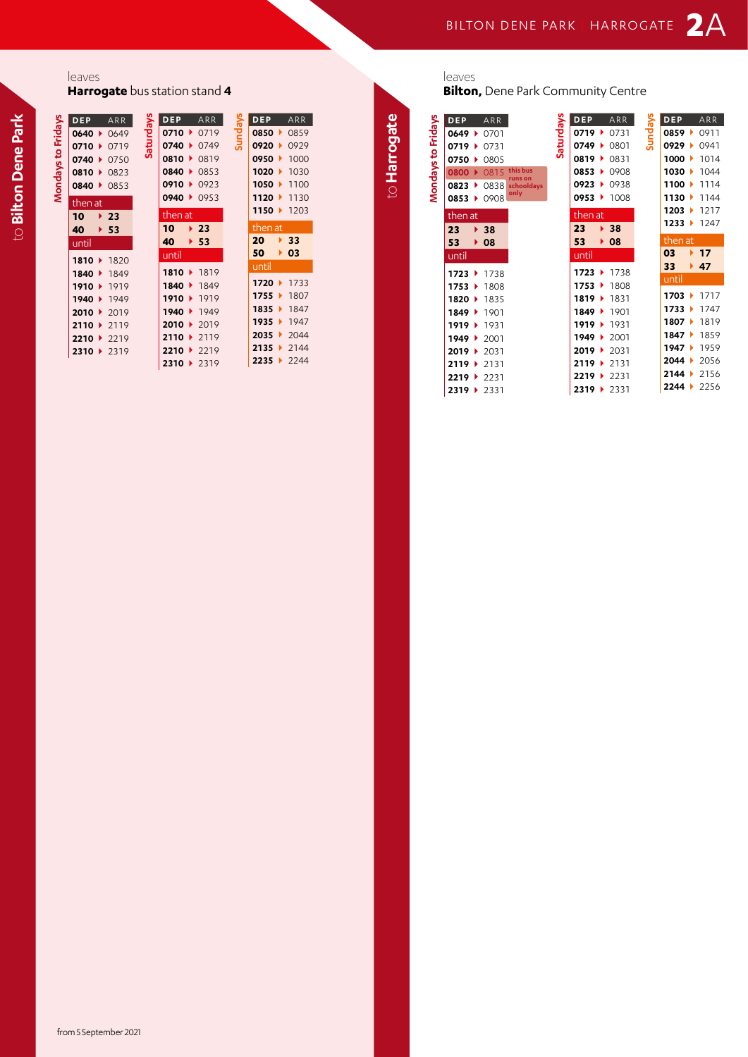## leaves

**Harrogate** bus station stand **4**

|                    | DEP.                         | ARR                      |           |  |
|--------------------|------------------------------|--------------------------|-----------|--|
|                    |                              | 0640 0649                | Saturdays |  |
|                    |                              | $0710 \rightarrow 0719$  |           |  |
|                    |                              | $0740 \rightarrow 0750$  |           |  |
|                    |                              | 0810 0823                |           |  |
| Mondays to Fridays |                              | 0840 0853                |           |  |
|                    | then at                      |                          |           |  |
|                    | 10                           | $\blacktriangleright$ 23 |           |  |
|                    | 40                           | 53                       |           |  |
|                    | until                        |                          |           |  |
|                    |                              | 1810 1820                |           |  |
|                    |                              | 1840 1849                |           |  |
|                    |                              | 1910 ▶ 1919              |           |  |
|                    |                              | 1940 1949                |           |  |
|                    |                              | 2010 ▶ 2019              |           |  |
|                    |                              | 2110 ▶ 2119              |           |  |
|                    |                              | 2210 ▶ 2219              |           |  |
|                    | $2310$ $\blacktriangleright$ | 2319                     |           |  |

|           |                         | <b>DEP</b> ARR          |         |                     | DEP ARR                 |
|-----------|-------------------------|-------------------------|---------|---------------------|-------------------------|
| Saturdays |                         | $0710$ ▶ 0719           | Sundays |                     | 0850 0859               |
|           |                         | $0740 \rightarrow 0749$ |         |                     | 0920 0929               |
|           | 0810 0819               |                         |         |                     | 0950 ▶ 1000             |
|           | 0840 0853               |                         |         |                     | 1020 1030               |
|           | $0910 \rightarrow 0923$ |                         |         |                     | 1050 $\rightarrow$ 1100 |
|           | 0940 ▶ 0953             |                         |         |                     | 1120 1130               |
|           | then at                 |                         |         |                     | 1150 $\rightarrow$ 1203 |
|           | $10 \rightarrow 23$     |                         |         | then at             |                         |
|           |                         |                         |         |                     |                         |
|           |                         |                         |         |                     |                         |
|           | 40 $\rightarrow$ 53     |                         |         | $20 \rightarrow 33$ |                         |
|           | until                   |                         |         | $50 \rightarrow 03$ |                         |
|           |                         | 1810   1819             |         | until               |                         |
|           |                         | 1840 1849               |         |                     | 1720 ▶ 1733             |
|           |                         | 1910 ▶ 1919             |         |                     | 1755 1807               |
|           |                         | 1940 1949               |         |                     | 1835 1847               |
|           |                         | 2010 ▶ 2019             |         |                     | 1935 1947               |
|           |                         | 2110 ▶ 2119             |         | 2035 2044           |                         |
|           |                         | 2210 ▶ 2219             |         |                     | $2135 \rightarrow 2144$ |

**2310** } 2319

to Harrogate to **Harrogate**

leaves

**Bilton,** Dene Park Community Centre

| Mondays to Fridays | <b>DEP</b>           |                      | ARR                      |                       | Saturdays | <b>DEP</b>                   |                      | ARR  | Sundays | <b>DEP</b> |                      | ARR  |
|--------------------|----------------------|----------------------|--------------------------|-----------------------|-----------|------------------------------|----------------------|------|---------|------------|----------------------|------|
|                    | $0649$ $\rightarrow$ |                      | 0701                     |                       |           | $0719$ $\rightarrow$         |                      | 0731 |         | 0859       |                      | 0911 |
|                    | $0719$ $\rightarrow$ |                      | 0731                     |                       |           | 0749                         | ٠                    | 0801 |         | 0929       | ٠                    | 0941 |
|                    | 0750 ▶               |                      | 0805                     |                       |           | 0819 ▶                       |                      | 0831 |         | 1000       | ٠                    | 1014 |
|                    | 0800                 |                      | 0815                     | this bus              |           | 0853                         |                      | 0908 |         | 1030       | ٠                    | 1044 |
|                    | 0823                 | $\ddot{\phantom{1}}$ | 0838                     | runs on<br>schooldays |           | 0923                         |                      | 0938 |         | 1100       | $\ddot{\phantom{1}}$ | 1114 |
|                    | $0853$ $\rightarrow$ |                      | 0908                     | only                  |           | 0953 ▶                       |                      | 1008 |         | 1130       | ٠                    | 1144 |
|                    |                      |                      |                          |                       |           | then at                      |                      |      |         | 1203       | ٠                    | 1217 |
|                    | then at              |                      |                          |                       |           | 23                           | ×.                   | 38   |         | 1233       | ٠                    | 1247 |
|                    | 23                   |                      | $\blacktriangleright$ 38 |                       |           | 53                           | ▶                    | 08   |         | then at    |                      |      |
|                    | 53                   | ▶                    | 08                       |                       |           |                              |                      |      |         |            |                      |      |
|                    | until                |                      |                          |                       |           | until                        |                      |      |         | 03         | Þ.                   | 17   |
|                    | 1723                 | $\ddot{\phantom{1}}$ | 1738                     |                       |           | 1723                         | $\ddot{\phantom{1}}$ | 1738 |         | 33         | Þ.                   | 47   |
|                    | $1753 +$             |                      | 1808                     |                       |           | $1753 +$                     |                      | 1808 |         | until      |                      |      |
|                    | 1820 ▶               |                      | 1835                     |                       |           | 1819                         |                      | 1831 |         | 1703       |                      | 1717 |
|                    | 1849 ▶               |                      | 1901                     |                       |           | 1849                         | $\ddot{\phantom{1}}$ | 1901 |         | 1733       | ٠                    | 1747 |
|                    | 1919                 |                      |                          |                       |           | 1919 ▶                       |                      | 1931 |         | 1807       | $\ddot{\phantom{1}}$ | 1819 |
|                    |                      | $\ddot{\phantom{1}}$ | 1931                     |                       |           | $1949 +$                     |                      |      |         | 1847       | ٠                    | 1859 |
|                    | $1949 +$             |                      | 2001                     |                       |           |                              |                      | 2001 |         | 1947       | ٠                    | 1959 |
|                    | $2019$ $\rightarrow$ |                      | 2031                     |                       |           | $2019$ $\blacktriangleright$ |                      | 2031 |         |            |                      |      |
|                    | 2119                 | $\ddot{\phantom{1}}$ | 2131                     |                       |           | $2119 +$                     |                      | 2131 |         | 2044       | ٠                    | 2056 |
|                    | 2219                 | $\ddot{\phantom{1}}$ | 2231                     |                       |           | 2219                         | ٠                    | 2231 |         | 2144       |                      | 2156 |
|                    | 2319 ▶ 2331          |                      |                          |                       |           | 2319 ▶                       |                      | 2331 |         | 2244       | ٠                    | 2256 |

to Bilton Dene Park to **Bilton Dene Park**